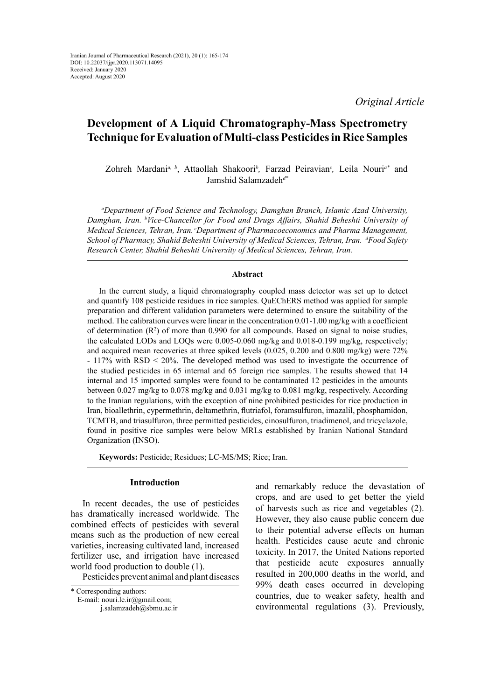*Original Article*

# **Development of A Liquid Chromatography-Mass Spectrometry Technique for Evaluation of Multi-class Pesticides in Rice Samples**

Zohreh Mardani*a, b*, Attaollah Shakoori*<sup>b</sup> ,* Farzad Peiravian*<sup>c</sup> ,* Leila Nouri*a\** and Jamshid Salamzadeh*d\**

*a Department of Food Science and Technology, Damghan Branch, Islamic Azad University, Damghan, Iran. b Vice-Chancellor for Food and Drugs Affairs, Shahid Beheshti University of Medical Sciences, Tehran, Iran. cDepartment of Pharmacoeconomics and Pharma Management, School of Pharmacy, Shahid Beheshti University of Medical Sciences, Tehran, Iran. d Food Safety Research Center, Shahid Beheshti University of Medical Sciences, Tehran, Iran.*

#### **Abstract**

In the current study, a liquid chromatography coupled mass detector was set up to detect and quantify 108 pesticide residues in rice samples. QuEChERS method was applied for sample preparation and different validation parameters were determined to ensure the suitability of the method. The calibration curves were linear in the concentration 0.01-1.00 mg/kg with a coefficient of determination  $(R^2)$  of more than 0.990 for all compounds. Based on signal to noise studies, the calculated LODs and LOQs were 0.005-0.060 mg/kg and 0.018-0.199 mg/kg, respectively; and acquired mean recoveries at three spiked levels (0.025, 0.200 and 0.800 mg/kg) were 72% - 117% with RSD < 20%. The developed method was used to investigate the occurrence of the studied pesticides in 65 internal and 65 foreign rice samples. The results showed that 14 internal and 15 imported samples were found to be contaminated 12 pesticides in the amounts between 0.027 mg/kg to 0.078 mg/kg and 0.031 mg/kg to 0.081 mg/kg, respectively. According to the Iranian regulations, with the exception of nine prohibited pesticides for rice production in Iran, bioallethrin, cypermethrin, deltamethrin, flutriafol, foramsulfuron, imazalil, phosphamidon, TCMTB, and triasulfuron, three permitted pesticides, cinosulfuron, triadimenol, and tricyclazole, found in positive rice samples were below MRLs established by Iranian National Standard Organization (INSO).

**Keywords:** Pesticide; Residues; LC-MS/MS; Rice; Iran.

#### **Introduction**

In recent decades, the use of pesticides has dramatically increased worldwide. The combined effects of pesticides with several means such as the production of new cereal varieties, increasing cultivated land, increased fertilizer use, and irrigation have increased world food production to double (1).

Pesticides prevent animal and plant diseases

and remarkably reduce the devastation of crops, and are used to get better the yield of harvests such as rice and vegetables (2). However, they also cause public concern due to their potential adverse effects on human health. Pesticides cause acute and chronic toxicity. In 2017, the United Nations reported that pesticide acute exposures annually resulted in 200,000 deaths in the world, and 99% death cases occurred in developing countries, due to weaker safety, health and environmental regulations (3). Previously,

<sup>\*</sup> Corresponding authors:

E-mail: nouri.le.ir@gmail.com;

j.salamzadeh@sbmu.ac.ir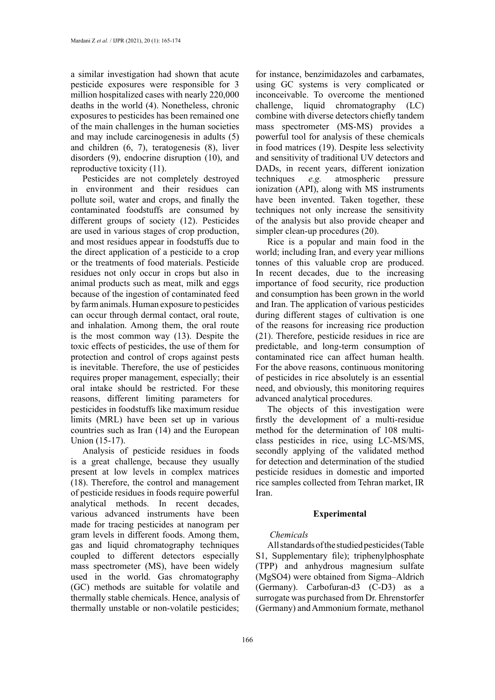a similar investigation had shown that acute pesticide exposures were responsible for 3 million hospitalized cases with nearly 220,000 deaths in the world (4). Nonetheless, chronic exposures to pesticides has been remained one of the main challenges in the human societies and may include carcinogenesis in adults (5) and children (6, 7), teratogenesis (8), liver disorders (9), endocrine disruption (10), and reproductive toxicity (11).

Pesticides are not completely destroyed in environment and their residues can pollute soil, water and crops, and finally the contaminated foodstuffs are consumed by different groups of society (12). Pesticides are used in various stages of crop production, and most residues appear in foodstuffs due to the direct application of a pesticide to a crop or the treatments of food materials. Pesticide residues not only occur in crops but also in animal products such as meat, milk and eggs because of the ingestion of contaminated feed by farm animals. Human exposure to pesticides can occur through dermal contact, oral route, and inhalation. Among them, the oral route is the most common way (13). Despite the toxic effects of pesticides, the use of them for protection and control of crops against pests is inevitable. Therefore, the use of pesticides requires proper management, especially; their oral intake should be restricted. For these reasons, different limiting parameters for pesticides in foodstuffs like maximum residue limits (MRL) have been set up in various countries such as Iran (14) and the European Union (15-17).

Analysis of pesticide residues in foods is a great challenge, because they usually present at low levels in complex matrices (18). Therefore, the control and management of pesticide residues in foods require powerful analytical methods. In recent decades, various advanced instruments have been made for tracing pesticides at nanogram per gram levels in different foods. Among them, gas and liquid chromatography techniques coupled to different detectors especially mass spectrometer (MS), have been widely used in the world. Gas chromatography (GC) methods are suitable for volatile and thermally stable chemicals. Hence, analysis of thermally unstable or non-volatile pesticides;

for instance, benzimidazoles and carbamates, using GC systems is very complicated or inconceivable. To overcome the mentioned challenge, liquid chromatography (LC) combine with diverse detectors chiefly tandem mass spectrometer (MS-MS) provides a powerful tool for analysis of these chemicals in food matrices (19). Despite less selectivity and sensitivity of traditional UV detectors and DADs, in recent years, different ionization techniques *e.g.* atmospheric pressure ionization (API), along with MS instruments have been invented. Taken together, these techniques not only increase the sensitivity of the analysis but also provide cheaper and simpler clean-up procedures (20).

Rice is a popular and main food in the world; including Iran, and every year millions tonnes of this valuable crop are produced. In recent decades, due to the increasing importance of food security, rice production and consumption has been grown in the world and Iran. The application of various pesticides during different stages of cultivation is one of the reasons for increasing rice production (21). Therefore, pesticide residues in rice are predictable, and long-term consumption of contaminated rice can affect human health. For the above reasons, continuous monitoring of pesticides in rice absolutely is an essential need, and obviously, this monitoring requires advanced analytical procedures.

The objects of this investigation were firstly the development of a multi-residue method for the determination of 108 multiclass pesticides in rice, using LC-MS/MS, secondly applying of the validated method for detection and determination of the studied pesticide residues in domestic and imported rice samples collected from Tehran market, IR Iran.

### **Experimental**

## *Chemicals*

All standards of the studied pesticides (Table S1, Supplementary file); triphenylphosphate (TPP) and anhydrous magnesium sulfate (MgSO4) were obtained from Sigma–Aldrich (Germany). Carbofuran-d3 (C-D3) as a surrogate was purchased from Dr. Ehrenstorfer (Germany) and Ammonium formate, methanol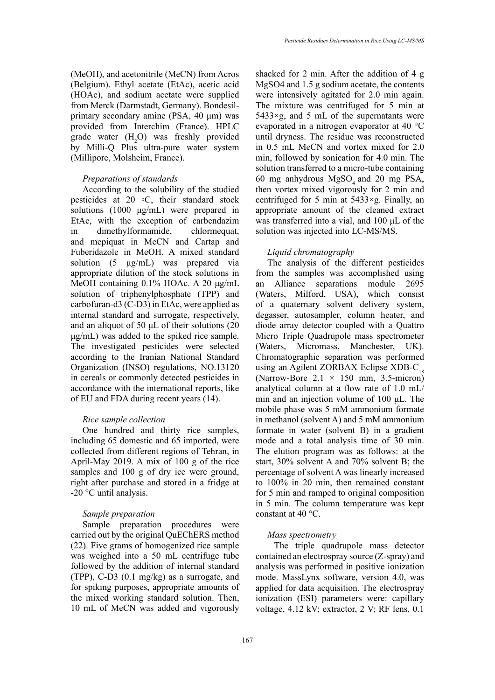(MeOH), and acetonitrile (MeCN) from Acros (Belgium). Ethyl acetate (EtAc), acetic acid (HOAc), and sodium acetate were supplied from Merck (Darmstadt, Germany). Bondesilprimary secondary amine (PSA, 40 μm) was provided from Interchim (France). HPLC grade water  $(H_2O)$  was freshly provided by Milli-Q Plus ultra-pure water system (Millipore, Molsheim, France).

## *Preparations of standards*

According to the solubility of the studied pesticides at 20 ◦C, their standard stock solutions (1000 μg/mL) were prepared in EtAc, with the exception of carbendazim in dimethylformamide, chlormequat, and mepiquat in MeCN and Cartap and Fuberidazole in MeOH. A mixed standard solution (5 μg/mL) was prepared via appropriate dilution of the stock solutions in MeOH containing 0.1% HOAc. A 20 μg/mL solution of triphenylphosphate (TPP) and carbofuran-d3 (C-D3) in EtAc, were applied as internal standard and surrogate, respectively, and an aliquot of 50 μL of their solutions (20 μg/mL) was added to the spiked rice sample. The investigated pesticides were selected according to the Iranian National Standard Organization (INSO) regulations, NO.13120 in cereals or commonly detected pesticides in accordance with the international reports, like of EU and FDA during recent years (14).

## *Rice sample collection*

One hundred and thirty rice samples, including 65 domestic and 65 imported, were collected from different regions of Tehran, in April-May 2019. A mix of 100 g of the rice samples and 100 g of dry ice were ground, right after purchase and stored in a fridge at -20 °C until analysis.

# *Sample preparation*

Sample preparation procedures were carried out by the original QuEChERS method (22). Five grams of homogenized rice sample was weighed into a 50 mL centrifuge tube followed by the addition of internal standard (TPP), C-D3 (0.1 mg/kg) as a surrogate, and for spiking purposes, appropriate amounts of the mixed working standard solution. Then, 10 mL of MeCN was added and vigorously

shacked for 2 min. After the addition of 4 g MgSO4 and 1.5 g sodium acetate, the contents were intensively agitated for 2.0 min again. The mixture was centrifuged for 5 min at  $5433 \times g$ , and 5 mL of the supernatants were evaporated in a nitrogen evaporator at 40 °C until dryness. The residue was reconstructed in 0.5 mL MeCN and vortex mixed for 2.0 min, followed by sonication for 4.0 min. The solution transferred to a micro-tube containing 60 mg anhydrous MgSO<sub>4</sub> and 20 mg PSA, then vortex mixed vigorously for 2 min and centrifuged for 5 min at  $5433 \times g$ . Finally, an appropriate amount of the cleaned extract was transferred into a vial, and 100 μL of the solution was injected into LC-MS/MS.

## *Liquid chromatography*

The analysis of the different pesticides from the samples was accomplished using an Alliance separations module 2695 (Waters, Milford, USA), which consist of a quaternary solvent delivery system, degasser, autosampler, column heater, and diode array detector coupled with a Quattro Micro Triple Quadrupole mass spectrometer (Waters, Micromass, Manchester, UK). Chromatographic separation was performed using an Agilent ZORBAX Eclipse  $XDB-C_{18}$ (Narrow-Bore  $2.1 \times 150$  mm, 3.5-micron) analytical column at a flow rate of 1.0 mL/ min and an injection volume of 100 μL. The mobile phase was 5 mM ammonium formate in methanol (solvent A) and 5 mM ammonium formate in water (solvent B) in a gradient mode and a total analysis time of 30 min. The elution program was as follows: at the start, 30% solvent A and 70% solvent B; the percentage of solvent A was linearly increased to 100% in 20 min, then remained constant for 5 min and ramped to original composition in 5 min. The column temperature was kept constant at 40 °C.

### *Mass spectrometry*

 The triple quadrupole mass detector contained an electrospray source (Z-spray) and analysis was performed in positive ionization mode. MassLynx software, version 4.0, was applied for data acquisition. The electrospray ionization (ESI) parameters were: capillary voltage, 4.12 kV; extractor, 2 V; RF lens, 0.1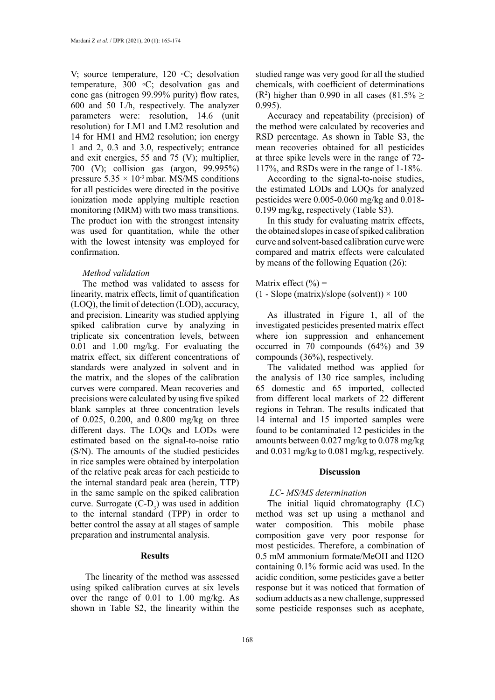V; source temperature, 120 ◦C; desolvation temperature, 300 ◦C; desolvation gas and cone gas (nitrogen 99.99% purity) flow rates, 600 and 50 L/h, respectively. The analyzer parameters were: resolution, 14.6 (unit resolution) for LM1 and LM2 resolution and 14 for HM1 and HM2 resolution; ion energy 1 and 2, 0.3 and 3.0, respectively; entrance and exit energies, 55 and 75 (V); multiplier, 700 (V); collision gas (argon, 99.995%) pressure  $5.35 \times 10^{-3}$  mbar. MS/MS conditions for all pesticides were directed in the positive ionization mode applying multiple reaction monitoring (MRM) with two mass transitions. The product ion with the strongest intensity was used for quantitation, while the other with the lowest intensity was employed for confirmation.

## *Method validation*

The method was validated to assess for linearity, matrix effects, limit of quantification (LOQ), the limit of detection (LOD), accuracy, and precision. Linearity was studied applying spiked calibration curve by analyzing in triplicate six concentration levels, between 0.01 and 1.00 mg/kg. For evaluating the matrix effect, six different concentrations of standards were analyzed in solvent and in the matrix, and the slopes of the calibration curves were compared. Mean recoveries and precisions were calculated by using five spiked blank samples at three concentration levels of 0.025, 0.200, and 0.800 mg/kg on three different days. The LOQs and LODs were estimated based on the signal-to-noise ratio (S/N). The amounts of the studied pesticides in rice samples were obtained by interpolation of the relative peak areas for each pesticide to the internal standard peak area (herein, TTP) in the same sample on the spiked calibration curve. Surrogate  $(C-D_3)$  was used in addition to the internal standard (TPP) in order to better control the assay at all stages of sample preparation and instrumental analysis.

## **Results**

 The linearity of the method was assessed using spiked calibration curves at six levels over the range of 0.01 to 1.00 mg/kg. As shown in Table S2, the linearity within the

studied range was very good for all the studied chemicals, with coefficient of determinations (R<sup>2</sup>) higher than 0.990 in all cases (81.5%  $\ge$ 0.995).

Accuracy and repeatability (precision) of the method were calculated by recoveries and RSD percentage. As shown in Table S3, the mean recoveries obtained for all pesticides at three spike levels were in the range of 72- 117%, and RSDs were in the range of 1-18%.

According to the signal-to-noise studies, the estimated LODs and LOQs for analyzed pesticides were 0.005-0.060 mg/kg and 0.018- 0.199 mg/kg, respectively (Table S3).

In this study for evaluating matrix effects, the obtained slopes in case of spiked calibration curve and solvent-based calibration curve were compared and matrix effects were calculated by means of the following Equation (26):

Matrix effect  $(\% )$  =

 $(1 - Slope (matrix)/slope (solvent)) \times 100$ 

As illustrated in Figure 1, all of the investigated pesticides presented matrix effect where ion suppression and enhancement occurred in 70 compounds (64%) and 39 compounds (36%), respectively.

The validated method was applied for the analysis of 130 rice samples, including 65 domestic and 65 imported, collected from different local markets of 22 different regions in Tehran. The results indicated that 14 internal and 15 imported samples were found to be contaminated 12 pesticides in the amounts between 0.027 mg/kg to 0.078 mg/kg and 0.031 mg/kg to 0.081 mg/kg, respectively.

#### **Discussion**

## *LC- MS/MS determination*

The initial liquid chromatography (LC) method was set up using a methanol and water composition. This mobile phase composition gave very poor response for most pesticides. Therefore, a combination of 0.5 mM ammonium formate/MeOH and H2O containing 0.1% formic acid was used. In the acidic condition, some pesticides gave a better response but it was noticed that formation of sodium adducts as a new challenge, suppressed some pesticide responses such as acephate,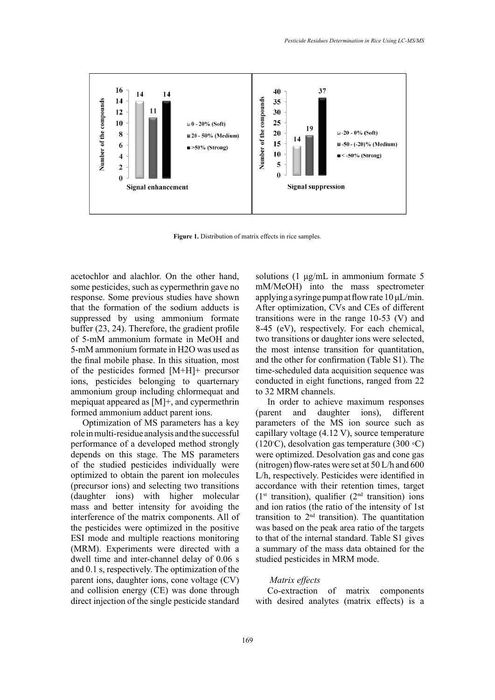

**Figure 1.** Distribution of matrix effects in rice samples.

acetochlor and alachlor. On the other hand, some pesticides, such as cypermethrin gave no response. Some previous studies have shown that the formation of the sodium adducts is suppressed by using ammonium formate buffer (23, 24). Therefore, the gradient profile of 5-mM ammonium formate in MeOH and 5-mM ammonium formate in H2O was used as the final mobile phase. In this situation, most of the pesticides formed [M+H]+ precursor ions, pesticides belonging to quarternary ammonium group including chlormequat and mepiquat appeared as [M]+, and cypermethrin formed ammonium adduct parent ions.

Optimization of MS parameters has a key role in multi-residue analysis and the successful performance of a developed method strongly depends on this stage. The MS parameters of the studied pesticides individually were optimized to obtain the parent ion molecules (precursor ions) and selecting two transitions (daughter ions) with higher molecular mass and better intensity for avoiding the interference of the matrix components. All of the pesticides were optimized in the positive ESI mode and multiple reactions monitoring (MRM). Experiments were directed with a dwell time and inter-channel delay of 0.06 s and 0.1 s, respectively. The optimization of the parent ions, daughter ions, cone voltage (CV) and collision energy (CE) was done through direct injection of the single pesticide standard

solutions (1 μg/mL in ammonium formate 5 mM/MeOH) into the mass spectrometer applying a syringe pump at flow rate 10 μL/min. After optimization, CVs and CEs of different transitions were in the range 10-53 (V) and 8-45 (eV), respectively. For each chemical, two transitions or daughter ions were selected, the most intense transition for quantitation, and the other for confirmation (Table S1). The time-scheduled data acquisition sequence was conducted in eight functions, ranged from 22 to 32 MRM channels.

In order to achieve maximum responses (parent and daughter ions), different parameters of the MS ion source such as capillary voltage (4.12 V), source temperature (120◦ C), desolvation gas temperature (300 ◦C) were optimized. Desolvation gas and cone gas (nitrogen) flow-rates were set at 50 L/h and 600 L/h, respectively. Pesticides were identified in accordance with their retention times, target  $(1<sup>st</sup> transition)$ , qualifier  $(2<sup>nd</sup> transition)$  ions and ion ratios (the ratio of the intensity of 1st transition to  $2<sup>nd</sup>$  transition). The quantitation was based on the peak area ratio of the targets to that of the internal standard. Table S1 gives a summary of the mass data obtained for the studied pesticides in MRM mode.

## *Matrix effects*

Co-extraction of matrix components with desired analytes (matrix effects) is a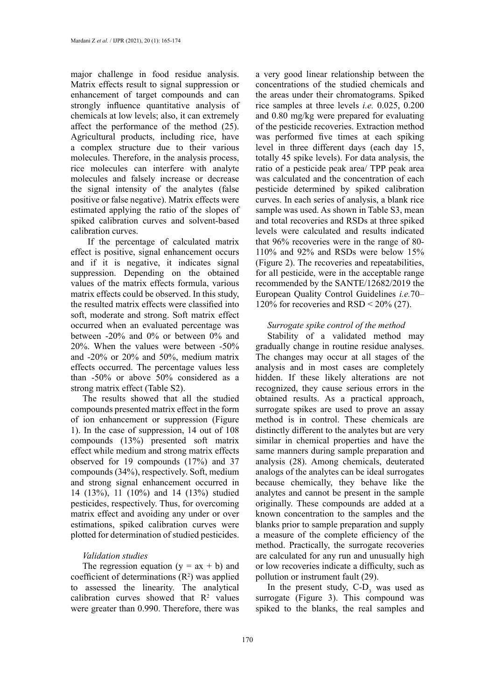major challenge in food residue analysis. Matrix effects result to signal suppression or enhancement of target compounds and can strongly influence quantitative analysis of chemicals at low levels; also, it can extremely affect the performance of the method (25). Agricultural products, including rice, have a complex structure due to their various molecules. Therefore, in the analysis process, rice molecules can interfere with analyte molecules and falsely increase or decrease the signal intensity of the analytes (false positive or false negative). Matrix effects were estimated applying the ratio of the slopes of spiked calibration curves and solvent-based calibration curves.

 If the percentage of calculated matrix effect is positive, signal enhancement occurs and if it is negative, it indicates signal suppression. Depending on the obtained values of the matrix effects formula, various matrix effects could be observed. In this study, the resulted matrix effects were classified into soft, moderate and strong. Soft matrix effect occurred when an evaluated percentage was between -20% and 0% or between 0% and 20%. When the values were between -50% and -20% or 20% and 50%, medium matrix effects occurred. The percentage values less than -50% or above 50% considered as a strong matrix effect (Table S2).

The results showed that all the studied compounds presented matrix effect in the form of ion enhancement or suppression (Figure 1). In the case of suppression, 14 out of 108 compounds (13%) presented soft matrix effect while medium and strong matrix effects observed for 19 compounds (17%) and 37 compounds (34%), respectively. Soft, medium and strong signal enhancement occurred in 14 (13%), 11 (10%) and 14 (13%) studied pesticides, respectively. Thus, for overcoming matrix effect and avoiding any under or over estimations, spiked calibration curves were plotted for determination of studied pesticides.

### *Validation studies*

The regression equation  $(y = ax + b)$  and coefficient of determinations  $(R^2)$  was applied to assessed the linearity. The analytical calibration curves showed that  $\mathbb{R}^2$  values were greater than 0.990. Therefore, there was

a very good linear relationship between the concentrations of the studied chemicals and the areas under their chromatograms. Spiked rice samples at three levels *i.e.* 0.025, 0.200 and 0.80 mg/kg were prepared for evaluating of the pesticide recoveries. Extraction method was performed five times at each spiking level in three different days (each day 15, totally 45 spike levels). For data analysis, the ratio of a pesticide peak area/ TPP peak area was calculated and the concentration of each pesticide determined by spiked calibration curves. In each series of analysis, a blank rice sample was used. As shown in Table S3, mean and total recoveries and RSDs at three spiked levels were calculated and results indicated that 96% recoveries were in the range of 80- 110% and 92% and RSDs were below 15% (Figure 2). The recoveries and repeatabilities, for all pesticide, were in the acceptable range recommended by the SANTE/12682/2019 the European Quality Control Guidelines *i.e.*70– 120% for recoveries and  $RSD < 20\%$  (27).

#### *Surrogate spike control of the method*

Stability of a validated method may gradually change in routine residue analyses. The changes may occur at all stages of the analysis and in most cases are completely hidden. If these likely alterations are not recognized, they cause serious errors in the obtained results. As a practical approach, surrogate spikes are used to prove an assay method is in control. These chemicals are distinctly different to the analytes but are very similar in chemical properties and have the same manners during sample preparation and analysis (28). Among chemicals, deuterated analogs of the analytes can be ideal surrogates because chemically, they behave like the analytes and cannot be present in the sample originally. These compounds are added at a known concentration to the samples and the blanks prior to sample preparation and supply a measure of the complete efficiency of the method. Practically, the surrogate recoveries are calculated for any run and unusually high or low recoveries indicate a difficulty, such as pollution or instrument fault (29).

In the present study,  $C-D_3$  was used as surrogate (Figure 3). This compound was spiked to the blanks, the real samples and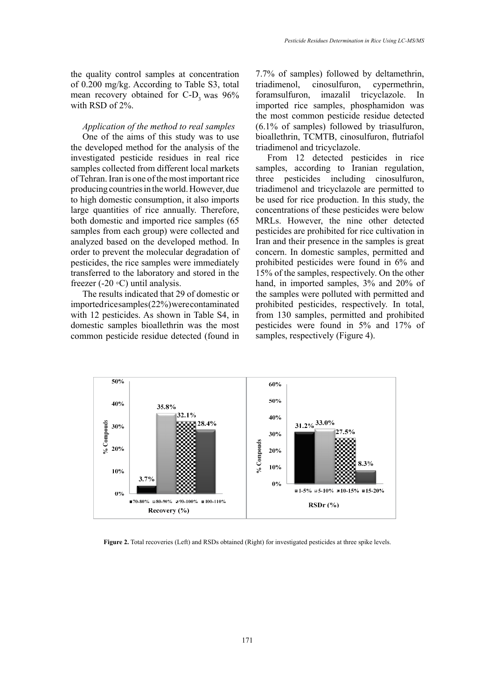the quality control samples at concentration of 0.200 mg/kg. According to Table S3, total mean recovery obtained for  $C-D<sub>3</sub>$  was 96% with RSD of 2%.

#### *Application of the method to real samples*

One of the aims of this study was to use the developed method for the analysis of the investigated pesticide residues in real rice samples collected from different local markets of Tehran. Iran is one of the most important rice producing countries in the world. However, due to high domestic consumption, it also imports large quantities of rice annually. Therefore, both domestic and imported rice samples (65 samples from each group) were collected and analyzed based on the developed method. In order to prevent the molecular degradation of pesticides, the rice samples were immediately transferred to the laboratory and stored in the freezer  $(-20 \circ C)$  until analysis.

The results indicated that 29 of domestic or imported rice samples (22%) were contaminated with 12 pesticides. As shown in Table S4, in domestic samples bioallethrin was the most common pesticide residue detected (found in 7.7% of samples) followed by deltamethrin, triadimenol, cinosulfuron, cypermethrin, foramsulfuron, imazalil tricyclazole. In imported rice samples, phosphamidon was the most common pesticide residue detected (6.1% of samples) followed by triasulfuron, bioallethrin, TCMTB, cinosulfuron, flutriafol triadimenol and tricyclazole.

From 12 detected pesticides in rice samples, according to Iranian regulation, three pesticides including cinosulfuron, triadimenol and tricyclazole are permitted to be used for rice production. In this study, the concentrations of these pesticides were below MRLs. However, the nine other detected pesticides are prohibited for rice cultivation in Iran and their presence in the samples is great concern. In domestic samples, permitted and prohibited pesticides were found in 6% and 15% of the samples, respectively. On the other hand, in imported samples, 3% and 20% of the samples were polluted with permitted and prohibited pesticides, respectively. In total, from 130 samples, permitted and prohibited pesticides were found in 5% and 17% of samples, respectively (Figure 4).



Figure 2. Total recoveries (Left) and RSDs obtained (Right) for investigated pesticides at three spike levels.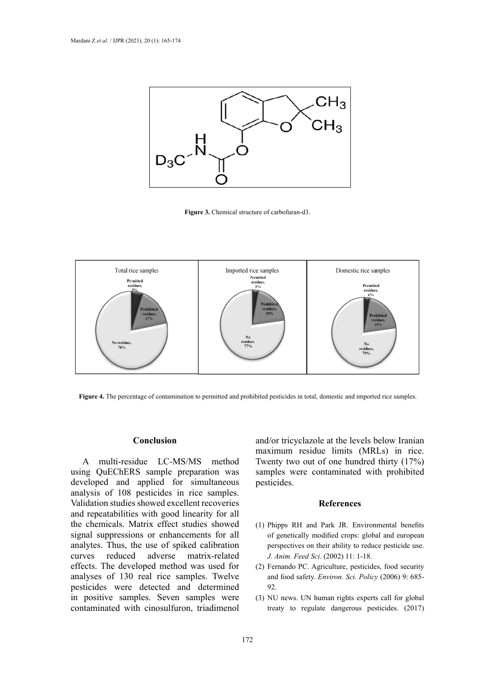

**Figure 3.** Chemical structure of carbofuran-d3.



**Figure 4.** The percentage of contamination to permitted and prohibited pesticides in total, domestic and imported rice samples.

#### **Conclusion**

A multi-residue LC-MS/MS method using QuEChERS sample preparation was developed and applied for simultaneous analysis of 108 pesticides in rice samples. Validation studies showed excellent recoveries and repeatabilities with good linearity for all the chemicals. Matrix effect studies showed signal suppressions or enhancements for all analytes. Thus, the use of spiked calibration curves reduced adverse matrix-related effects. The developed method was used for analyses of 130 real rice samples. Twelve pesticides were detected and determined in positive samples. Seven samples were contaminated with cinosulfuron, triadimenol

and/or tricyclazole at the levels below Iranian maximum residue limits (MRLs) in rice. Twenty two out of one hundred thirty (17%) samples were contaminated with prohibited pesticides.

#### **References**

- (1) Phipps RH and Park JR. Environmental benefits of genetically modified crops: global and european perspectives on their ability to reduce pesticide use. *J. Anim. Feed Sci*. (2002) 11: 1-18.
- (2) Fernando PC. Agriculture, pesticides, food security and food safety. *Environ. Sci. Policy* (2006) 9: 685- 92.
- (3) NU news. UN human rights experts call for global treaty to regulate dangerous pesticides. (2017)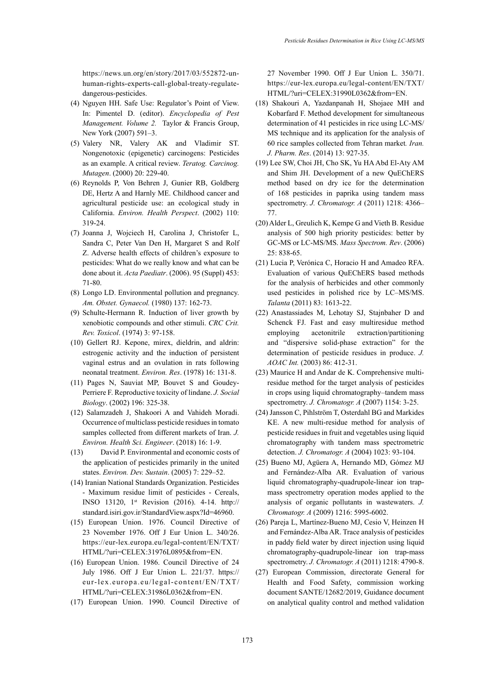[https://news.un.org/en/story/2017/03/552872-un](https://news.un.org/en/story/2017/03/552872-un-human-rights-experts-call-global-treaty-regulate-dangerous-pesticides)[human-rights-experts-call-global-treaty-regulate](https://news.un.org/en/story/2017/03/552872-un-human-rights-experts-call-global-treaty-regulate-dangerous-pesticides)[dangerous-pesticides.](https://news.un.org/en/story/2017/03/552872-un-human-rights-experts-call-global-treaty-regulate-dangerous-pesticides)

- (4) Nguyen HH. Safe Use: Regulator's Point of View. In: Pimentel D. (editor). *Encyclopedia of Pest Management. Volume 2.* Taylor & Francis Group, New York (2007) 591–3.
- (5) Valery NR, Valery AK and Vladimir ST. Nongenotoxic (epigenetic) carcinogens: Pesticides as an example. A critical review. *Teratog. Carcinog. Mutagen*. (2000) 20: 229-40.
- (6) Reynolds P, Von Behren J, Gunier RB, Goldberg DE, Hertz A and Harnly ME. Childhood cancer and agricultural pesticide use: an ecological study in California. *Environ. Health Perspect*. (2002) 110: 319-24.
- (7) Joanna J, Wojciech H, Carolina J, Christofer L, Sandra C, Peter Van Den H, Margaret S and Rolf Z. Adverse health effects of children's exposure to pesticides: What do we really know and what can be done about it. *Acta Paediatr*. (2006). 95 (Suppl) 453: 71-80.
- (8) Longo LD. Environmental pollution and pregnancy. *Am. Obstet. Gynaecol.* (1980) 137: 162-73.
- (9) Schulte-Hermann R. Induction of liver growth by xenobiotic compounds and other stimuli. *CRC Crit. Rev. Toxicol*. (1974) 3: 97-158.
- (10) Gellert RJ. Kepone, mirex, dieldrin, and aldrin: estrogenic activity and the induction of persistent vaginal estrus and an ovulation in rats following neonatal treatment. *Environ. Res*. (1978) 16: 131-8.
- (11) Pages N, Sauviat MP, Bouvet S and Goudey-Perriere F. Reproductive toxicity of lindane. *J. Social Biology*. (2002) 196: 325-38.
- (12) Salamzadeh J, Shakoori A and Vahideh Moradi. Occurrence of multiclass pesticide residues in tomato samples collected from different markets of Iran. *J. Environ. Health Sci. Engineer*. (2018) 16: 1-9.
- (13) David P. Environmental and economic costs of the application of pesticides primarily in the united states. *Environ. Dev. Sustain*. (2005) 7: 229–52.
- (14) Iranian National Standards Organization. Pesticides - Maximum residue limit of pesticides - Cereals, INSO 13120, 1st Revision (2016). 4-14. http:// standard.isiri.gov.ir/StandardView.aspx?Id=46960.
- (15) European Union. 1976. Council Directive of 23 November 1976. Off J Eur Union L. 340/26. https://eur-lex.europa.eu/legal-content/EN/TXT/ HTML/?uri=CELEX:31976L0895&from=EN.
- (16) European Union. 1986. Council Directive of 24 July 1986. Off J Eur Union L. 221/37. [https://](https://eur-lex.europa.eu/legal-content/EN/TXT/HTML/?uri=CELEX:31986L0362&from=EN) [eur-lex.europa.eu/legal-content/EN/TXT/](https://eur-lex.europa.eu/legal-content/EN/TXT/HTML/?uri=CELEX:31986L0362&from=EN) [HTML/?uri=CELEX:31986L0362&from=EN](https://eur-lex.europa.eu/legal-content/EN/TXT/HTML/?uri=CELEX:31986L0362&from=EN).
- (17) European Union. 1990. Council Directive of

27 November 1990. Off J Eur Union L. 350/71. https://eur-lex.europa.eu/legal-content/EN/TXT/ HTML/?uri=CELEX:31990L0362&from=EN.

- (18) Shakouri A, Yazdanpanah H, Shojaee MH and Kobarfard F. Method development for simultaneous determination of 41 pesticides in rice using LC-MS/ MS technique and its application for the analysis of 60 rice samples collected from Tehran market*. Iran. J. Pharm. Res*. (2014) 13: 927-35.
- (19) Lee SW, Choi JH, Cho SK, Yu HA Abd El-Aty AM and Shim JH. Development of a new QuEChERS method based on dry ice for the determination of 168 pesticides in paprika using tandem mass spectrometry. *J. Chromatogr. A* (2011) 1218: 4366– 77.
- (20) Alder L, Greulich K, Kempe G and Vieth B. Residue analysis of 500 high priority pesticides: better by GC-MS or LC-MS/MS. *Mass Spectrom. Rev*. (2006) 25: 838-65.
- (21) Lucia P, Verónica C, Horacio H and Amadeo RFA. Evaluation of various QuEChERS based methods for the analysis of herbicides and other commonly used pesticides in polished rice by LC–MS/MS. *Talanta* (2011) 83: 1613-22.
- (22) Anastassiades M, Lehotay SJ, Stajnbaher D and Schenck FJ. Fast and easy multiresidue method employing acetonitrile extraction/partitioning and "dispersive solid-phase extraction" for the determination of pesticide residues in produce. *J. AOAC Int.* (2003) 86: 412-31.
- (23) Maurice H and Andar de K. Comprehensive multiresidue method for the target analysis of pesticides in crops using liquid chromatography–tandem mass spectrometry. *J. Chromatogr. A* (2007) 1154: 3-25.
- (24) [Jansson C](http://www.ncbi.nlm.nih.gov/pubmed?term=Jansson%20C%5BAuthor%5D&cauthor=true&cauthor_uid=14760853), [Pihlström T,](http://www.ncbi.nlm.nih.gov/pubmed?term=Pihlstr%C3%B6m%20T%5BAuthor%5D&cauthor=true&cauthor_uid=14760853) [Osterdahl BG](http://www.ncbi.nlm.nih.gov/pubmed?term=Osterdahl%20BG%5BAuthor%5D&cauthor=true&cauthor_uid=14760853) and [Markides](http://www.ncbi.nlm.nih.gov/pubmed?term=Markides%20KE%5BAuthor%5D&cauthor=true&cauthor_uid=14760853) [KE.](http://www.ncbi.nlm.nih.gov/pubmed?term=Markides%20KE%5BAuthor%5D&cauthor=true&cauthor_uid=14760853) A new multi-residue method for analysis of pesticide residues in fruit and vegetables using liquid chromatography with tandem mass spectrometric detection. *J. Chromatogr. A* (2004) 1023: 93-104.
- (25) Bueno MJ, Agüera A, Hernando MD, Gómez MJ and Fernández-Alba AR. Evaluation of various liquid chromatography-quadrupole-linear ion trapmass spectrometry operation modes applied to the analysis of organic pollutants in wastewaters. *J. Chromatogr. A* (2009) 1216: 5995-6002.
- (26) Pareja L, Martínez-Bueno MJ, Cesio V, Heinzen H and Fernández-Alba AR. Trace analysis of pesticides in paddy field water by direct injection using liquid chromatography-quadrupole-linear ion trap-mass spectrometry. *J. Chromatogr. A* (2011) 1218: 4790-8.
- (27) European Commission, directorate General for Health and Food Safety, commission working document SANTE/12682/2019, Guidance document on analytical quality control and method validation